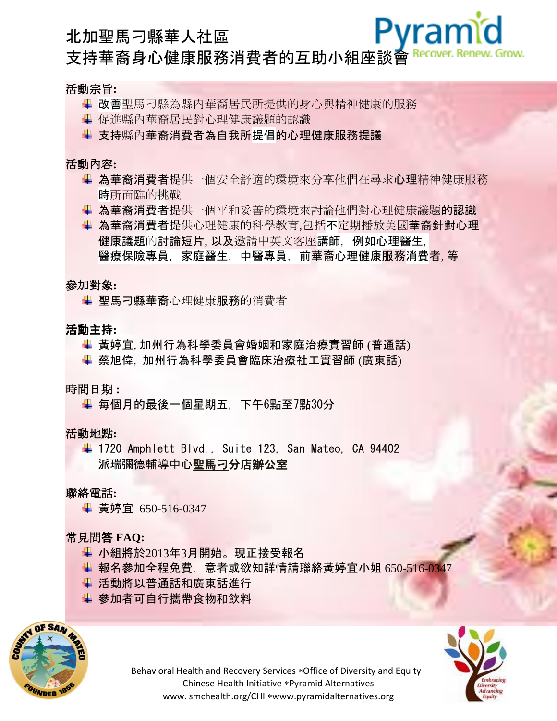# Pvramid 北加聖馬刁縣華人社區 支持華裔身心健康服務消費者的互助小組座談會

## 活動宗旨**:**

- 改善聖馬刁縣為縣內華裔居民所提供的身心與精神健康的服務
- + 促進縣內華裔居民對心理健康議題的認識
- 支持縣內華裔消費者為自我所提倡的心理健康服務提議

## 活動內容**:**

- ↓ 為華裔消費者提供一個安全舒適的環境來分享他們在尋求心理精神健康服務 時所面臨的挑戰
- 為華裔消費者提供一個平和妥善的環境來討論他們對心理健康議題的認識
- 為華裔消費者提供心理健康的科學教育,包括不定期播放美國華裔針對心理 健康議題的討論短片, 以及邀請中英文客座講師, 例如心理醫生, 醫療保險專員, 家庭醫生, 中醫專員, 前華裔心理健康服務消費者, 等

## 參加對象**:**

↓ 聖馬刁縣華裔心理健康服務的消費者

# 活動主持**:**

- ↓ 黃婷宜, 加州行為科學委員會婚姻和家庭治療實習師 (普通話)
- ↓ 蔡旭偉, 加州行為科學委員會臨床治療社工實習師 (廣東話)

# 時間日期 **:**

↓ 每個月的最後一個星期五, 下午6點至7點30分

# 活動地點**:**

 $+$  1720 Amphlett Blvd., Suite 123, San Mateo, CA 94402 派瑞彌德輔導中心聖馬刁分店辦公室

# 聯絡電話**:**

黃婷宜 650-516-0347

# 常見問答 **FAQ:**

- ← 小組將於2013年3月開始。現正接受報名
- ↓ 報名參加全程免費, 意者或欲知詳情請聯絡黃婷宜小姐 650-516-034
- ↓ 活動將以普通話和廣東話進行
- 參加者可自行攜帶食物和飲料





Behavioral Health and Recovery Services \*Office of Diversity and Equity Chinese Health Initiative \*Pyramid Alternatives www. smchealth.org/CHI \*www.pyramidalternatives.org